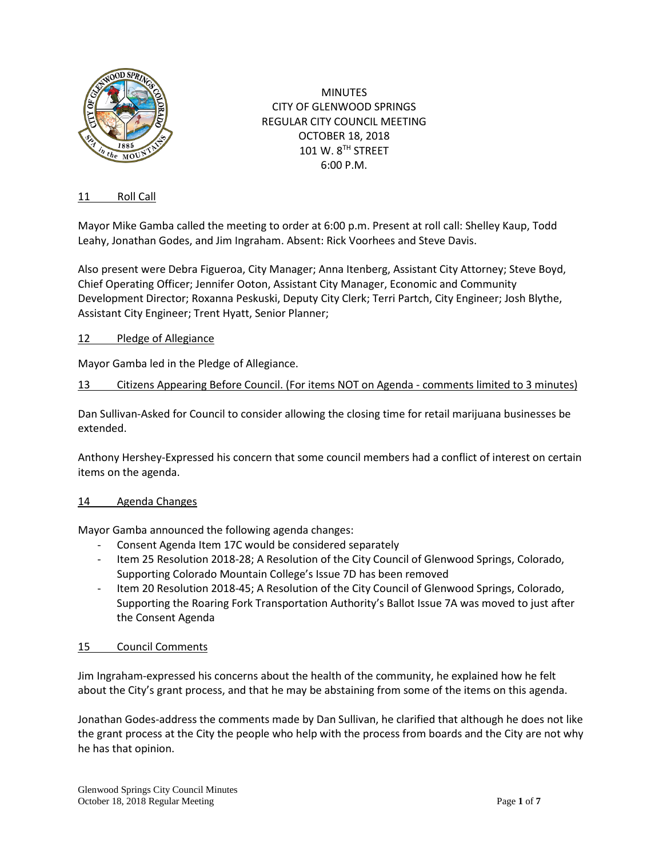

MINUTES CITY OF GLENWOOD SPRINGS REGULAR CITY COUNCIL MEETING OCTOBER 18, 2018 101 W. 8TH STREET 6:00 P.M.

# 11 Roll Call

Mayor Mike Gamba called the meeting to order at 6:00 p.m. Present at roll call: Shelley Kaup, Todd Leahy, Jonathan Godes, and Jim Ingraham. Absent: Rick Voorhees and Steve Davis.

Also present were Debra Figueroa, City Manager; Anna Itenberg, Assistant City Attorney; Steve Boyd, Chief Operating Officer; Jennifer Ooton, Assistant City Manager, Economic and Community Development Director; Roxanna Peskuski, Deputy City Clerk; Terri Partch, City Engineer; Josh Blythe, Assistant City Engineer; Trent Hyatt, Senior Planner;

# 12 Pledge of Allegiance

Mayor Gamba led in the Pledge of Allegiance.

# 13 Citizens Appearing Before Council. (For items NOT on Agenda - comments limited to 3 minutes)

Dan Sullivan-Asked for Council to consider allowing the closing time for retail marijuana businesses be extended.

Anthony Hershey-Expressed his concern that some council members had a conflict of interest on certain items on the agenda.

#### 14 Agenda Changes

Mayor Gamba announced the following agenda changes:

- Consent Agenda Item 17C would be considered separately
- Item 25 Resolution 2018-28; A Resolution of the City Council of Glenwood Springs, Colorado, Supporting Colorado Mountain College's Issue 7D has been removed
- Item 20 Resolution 2018-45; A Resolution of the City Council of Glenwood Springs, Colorado, Supporting the Roaring Fork Transportation Authority's Ballot Issue 7A was moved to just after the Consent Agenda

#### 15 Council Comments

Jim Ingraham-expressed his concerns about the health of the community, he explained how he felt about the City's grant process, and that he may be abstaining from some of the items on this agenda.

Jonathan Godes-address the comments made by Dan Sullivan, he clarified that although he does not like the grant process at the City the people who help with the process from boards and the City are not why he has that opinion.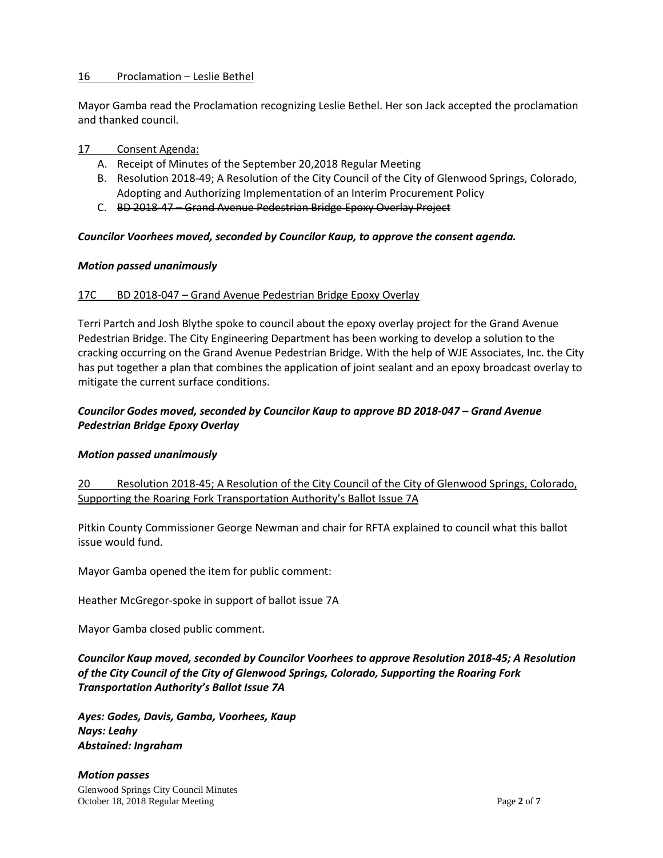### 16 Proclamation – Leslie Bethel

Mayor Gamba read the Proclamation recognizing Leslie Bethel. Her son Jack accepted the proclamation and thanked council.

### 17 Consent Agenda:

- A. Receipt of Minutes of the September 20,2018 Regular Meeting
- B. Resolution 2018-49; A Resolution of the City Council of the City of Glenwood Springs, Colorado, Adopting and Authorizing Implementation of an Interim Procurement Policy
- C. BD 2018-47 Grand Avenue Pedestrian Bridge Epoxy Overlay Project

### *Councilor Voorhees moved, seconded by Councilor Kaup, to approve the consent agenda.*

### *Motion passed unanimously*

### 17C BD 2018-047 – Grand Avenue Pedestrian Bridge Epoxy Overlay

Terri Partch and Josh Blythe spoke to council about the epoxy overlay project for the Grand Avenue Pedestrian Bridge. The City Engineering Department has been working to develop a solution to the cracking occurring on the Grand Avenue Pedestrian Bridge. With the help of WJE Associates, Inc. the City has put together a plan that combines the application of joint sealant and an epoxy broadcast overlay to mitigate the current surface conditions.

# *Councilor Godes moved, seconded by Councilor Kaup to approve BD 2018-047 – Grand Avenue Pedestrian Bridge Epoxy Overlay*

# *Motion passed unanimously*

20 Resolution 2018-45; A Resolution of the City Council of the City of Glenwood Springs, Colorado, Supporting the Roaring Fork Transportation Authority's Ballot Issue 7A

Pitkin County Commissioner George Newman and chair for RFTA explained to council what this ballot issue would fund.

Mayor Gamba opened the item for public comment:

Heather McGregor-spoke in support of ballot issue 7A

Mayor Gamba closed public comment.

*Councilor Kaup moved, seconded by Councilor Voorhees to approve Resolution 2018-45; A Resolution of the City Council of the City of Glenwood Springs, Colorado, Supporting the Roaring Fork Transportation Authority's Ballot Issue 7A*

*Ayes: Godes, Davis, Gamba, Voorhees, Kaup Nays: Leahy Abstained: Ingraham*

Glenwood Springs City Council Minutes October 18, 2018 Regular Meeting Page 2 of 7 *Motion passes*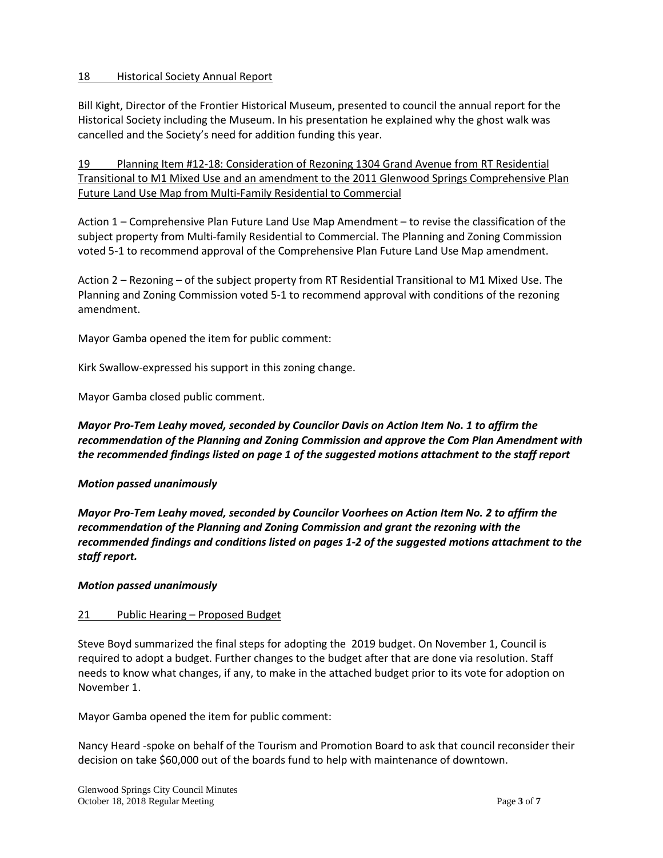# 18 Historical Society Annual Report

Bill Kight, Director of the Frontier Historical Museum, presented to council the annual report for the Historical Society including the Museum. In his presentation he explained why the ghost walk was cancelled and the Society's need for addition funding this year.

19 Planning Item #12-18: Consideration of Rezoning 1304 Grand Avenue from RT Residential Transitional to M1 Mixed Use and an amendment to the 2011 Glenwood Springs Comprehensive Plan Future Land Use Map from Multi-Family Residential to Commercial

Action 1 – Comprehensive Plan Future Land Use Map Amendment – to revise the classification of the subject property from Multi-family Residential to Commercial. The Planning and Zoning Commission voted 5-1 to recommend approval of the Comprehensive Plan Future Land Use Map amendment.

Action 2 – Rezoning – of the subject property from RT Residential Transitional to M1 Mixed Use. The Planning and Zoning Commission voted 5-1 to recommend approval with conditions of the rezoning amendment.

Mayor Gamba opened the item for public comment:

Kirk Swallow-expressed his support in this zoning change.

Mayor Gamba closed public comment.

*Mayor Pro-Tem Leahy moved, seconded by Councilor Davis on Action Item No. 1 to affirm the recommendation of the Planning and Zoning Commission and approve the Com Plan Amendment with the recommended findings listed on page 1 of the suggested motions attachment to the staff report*

# *Motion passed unanimously*

*Mayor Pro-Tem Leahy moved, seconded by Councilor Voorhees on Action Item No. 2 to affirm the recommendation of the Planning and Zoning Commission and grant the rezoning with the recommended findings and conditions listed on pages 1-2 of the suggested motions attachment to the staff report.*

# *Motion passed unanimously*

# 21 Public Hearing – Proposed Budget

Steve Boyd summarized the final steps for adopting the 2019 budget. On November 1, Council is required to adopt a budget. Further changes to the budget after that are done via resolution. Staff needs to know what changes, if any, to make in the attached budget prior to its vote for adoption on November 1.

Mayor Gamba opened the item for public comment:

Nancy Heard -spoke on behalf of the Tourism and Promotion Board to ask that council reconsider their decision on take \$60,000 out of the boards fund to help with maintenance of downtown.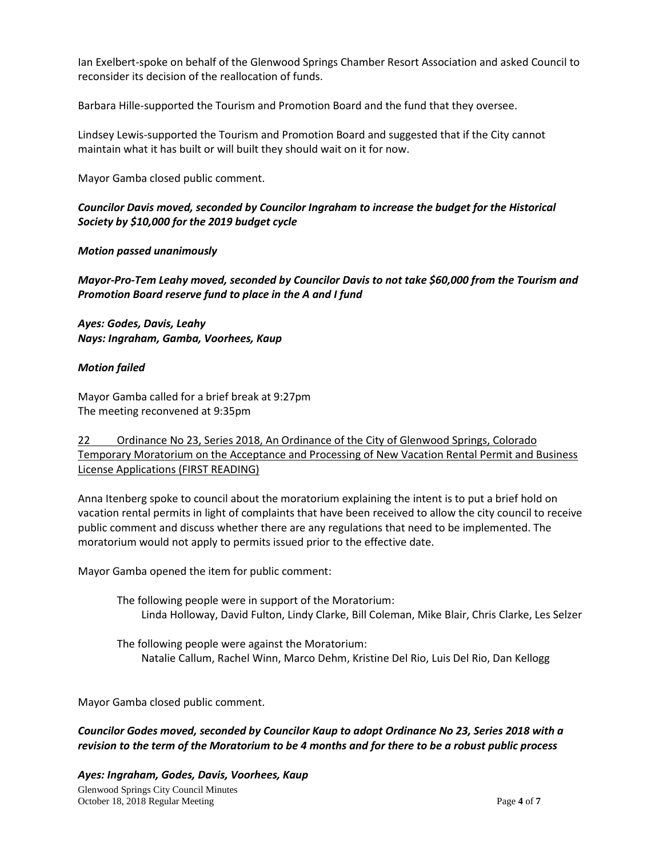Ian Exelbert-spoke on behalf of the Glenwood Springs Chamber Resort Association and asked Council to reconsider its decision of the reallocation of funds.

Barbara Hille-supported the Tourism and Promotion Board and the fund that they oversee.

Lindsey Lewis-supported the Tourism and Promotion Board and suggested that if the City cannot maintain what it has built or will built they should wait on it for now.

Mayor Gamba closed public comment.

# *Councilor Davis moved, seconded by Councilor Ingraham to increase the budget for the Historical Society by \$10,000 for the 2019 budget cycle*

*Motion passed unanimously*

*Mayor-Pro-Tem Leahy moved, seconded by Councilor Davis to not take \$60,000 from the Tourism and Promotion Board reserve fund to place in the A and I fund*

*Ayes: Godes, Davis, Leahy Nays: Ingraham, Gamba, Voorhees, Kaup*

### *Motion failed*

Mayor Gamba called for a brief break at 9:27pm The meeting reconvened at 9:35pm

22 Ordinance No 23, Series 2018, An Ordinance of the City of Glenwood Springs, Colorado Temporary Moratorium on the Acceptance and Processing of New Vacation Rental Permit and Business License Applications (FIRST READING)

Anna Itenberg spoke to council about the moratorium explaining the intent is to put a brief hold on vacation rental permits in light of complaints that have been received to allow the city council to receive public comment and discuss whether there are any regulations that need to be implemented. The moratorium would not apply to permits issued prior to the effective date.

Mayor Gamba opened the item for public comment:

- The following people were in support of the Moratorium: Linda Holloway, David Fulton, Lindy Clarke, Bill Coleman, Mike Blair, Chris Clarke, Les Selzer
- The following people were against the Moratorium: Natalie Callum, Rachel Winn, Marco Dehm, Kristine Del Rio, Luis Del Rio, Dan Kellogg

Mayor Gamba closed public comment.

*Councilor Godes moved, seconded by Councilor Kaup to adopt Ordinance No 23, Series 2018 with a revision to the term of the Moratorium to be 4 months and for there to be a robust public process*

Glenwood Springs City Council Minutes October 18, 2018 Regular Meeting Page 4 of 7 *Ayes: Ingraham, Godes, Davis, Voorhees, Kaup*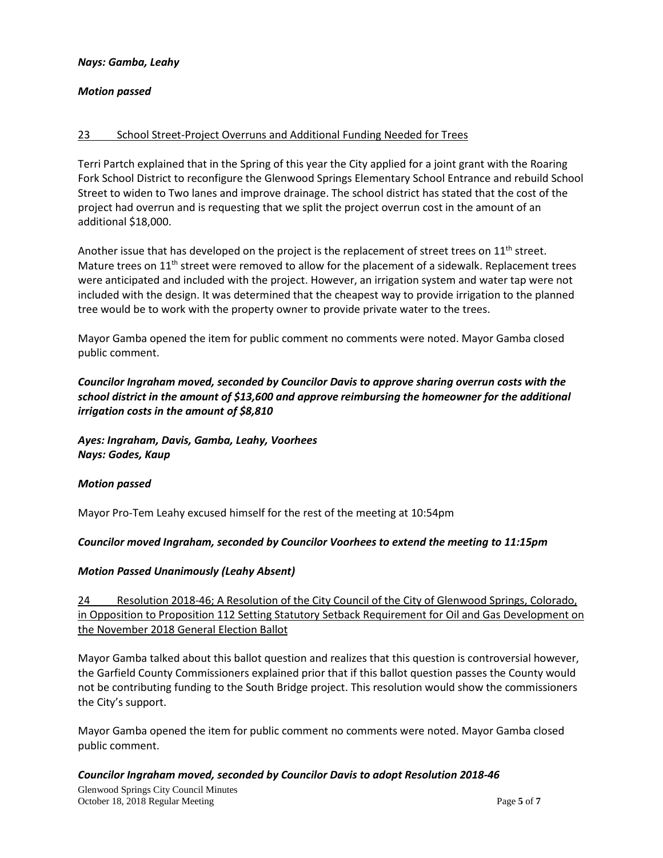# *Nays: Gamba, Leahy*

### *Motion passed*

### 23 School Street-Project Overruns and Additional Funding Needed for Trees

Terri Partch explained that in the Spring of this year the City applied for a joint grant with the Roaring Fork School District to reconfigure the Glenwood Springs Elementary School Entrance and rebuild School Street to widen to Two lanes and improve drainage. The school district has stated that the cost of the project had overrun and is requesting that we split the project overrun cost in the amount of an additional \$18,000.

Another issue that has developed on the project is the replacement of street trees on  $11<sup>th</sup>$  street. Mature trees on  $11<sup>th</sup>$  street were removed to allow for the placement of a sidewalk. Replacement trees were anticipated and included with the project. However, an irrigation system and water tap were not included with the design. It was determined that the cheapest way to provide irrigation to the planned tree would be to work with the property owner to provide private water to the trees.

Mayor Gamba opened the item for public comment no comments were noted. Mayor Gamba closed public comment.

# *Councilor Ingraham moved, seconded by Councilor Davis to approve sharing overrun costs with the school district in the amount of \$13,600 and approve reimbursing the homeowner for the additional irrigation costs in the amount of \$8,810*

*Ayes: Ingraham, Davis, Gamba, Leahy, Voorhees Nays: Godes, Kaup*

#### *Motion passed*

Mayor Pro-Tem Leahy excused himself for the rest of the meeting at 10:54pm

#### *Councilor moved Ingraham, seconded by Councilor Voorhees to extend the meeting to 11:15pm*

#### *Motion Passed Unanimously (Leahy Absent)*

24 Resolution 2018-46; A Resolution of the City Council of the City of Glenwood Springs, Colorado, in Opposition to Proposition 112 Setting Statutory Setback Requirement for Oil and Gas Development on the November 2018 General Election Ballot

Mayor Gamba talked about this ballot question and realizes that this question is controversial however, the Garfield County Commissioners explained prior that if this ballot question passes the County would not be contributing funding to the South Bridge project. This resolution would show the commissioners the City's support.

Mayor Gamba opened the item for public comment no comments were noted. Mayor Gamba closed public comment.

# *Councilor Ingraham moved, seconded by Councilor Davis to adopt Resolution 2018-46*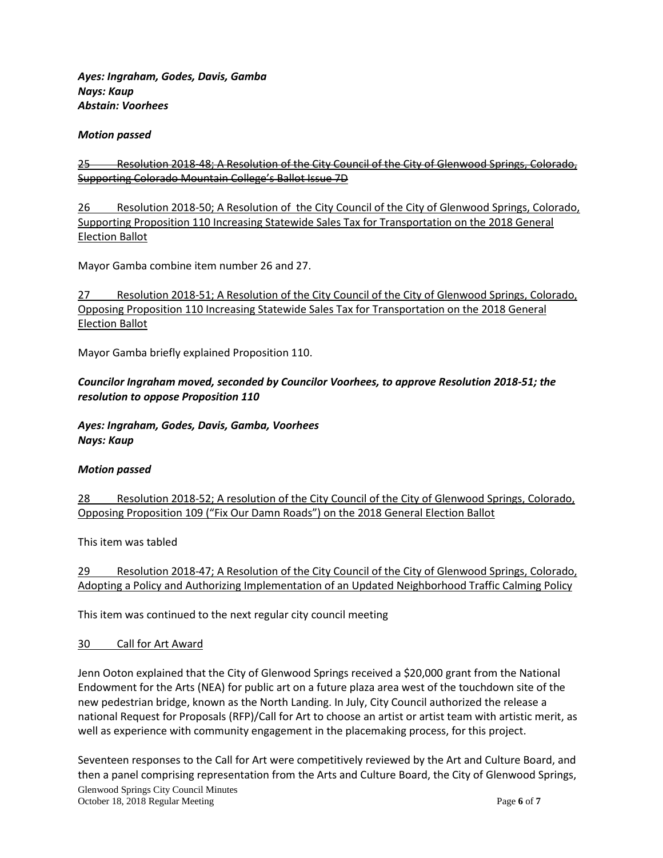*Ayes: Ingraham, Godes, Davis, Gamba Nays: Kaup Abstain: Voorhees*

### *Motion passed*

25 Resolution 2018-48; A Resolution of the City Council of the City of Glenwood Springs, Colorado, Supporting Colorado Mountain College's Ballot Issue 7D

26 Resolution 2018-50; A Resolution of the City Council of the City of Glenwood Springs, Colorado, Supporting Proposition 110 Increasing Statewide Sales Tax for Transportation on the 2018 General Election Ballot

Mayor Gamba combine item number 26 and 27.

27 Resolution 2018-51; A Resolution of the City Council of the City of Glenwood Springs, Colorado, Opposing Proposition 110 Increasing Statewide Sales Tax for Transportation on the 2018 General Election Ballot

Mayor Gamba briefly explained Proposition 110.

# *Councilor Ingraham moved, seconded by Councilor Voorhees, to approve Resolution 2018-51; the resolution to oppose Proposition 110*

*Ayes: Ingraham, Godes, Davis, Gamba, Voorhees Nays: Kaup*

#### *Motion passed*

28 Resolution 2018-52; A resolution of the City Council of the City of Glenwood Springs, Colorado, Opposing Proposition 109 ("Fix Our Damn Roads") on the 2018 General Election Ballot

This item was tabled

29 Resolution 2018-47; A Resolution of the City Council of the City of Glenwood Springs, Colorado, Adopting a Policy and Authorizing Implementation of an Updated Neighborhood Traffic Calming Policy

This item was continued to the next regular city council meeting

# 30 Call for Art Award

Jenn Ooton explained that the City of Glenwood Springs received a \$20,000 grant from the National Endowment for the Arts (NEA) for public art on a future plaza area west of the touchdown site of the new pedestrian bridge, known as the North Landing. In July, City Council authorized the release a national Request for Proposals (RFP)/Call for Art to choose an artist or artist team with artistic merit, as well as experience with community engagement in the placemaking process, for this project.

Glenwood Springs City Council Minutes October 18, 2018 Regular Meeting **Page 6** of **7** and **Page 6** of **7** Seventeen responses to the Call for Art were competitively reviewed by the Art and Culture Board, and then a panel comprising representation from the Arts and Culture Board, the City of Glenwood Springs,